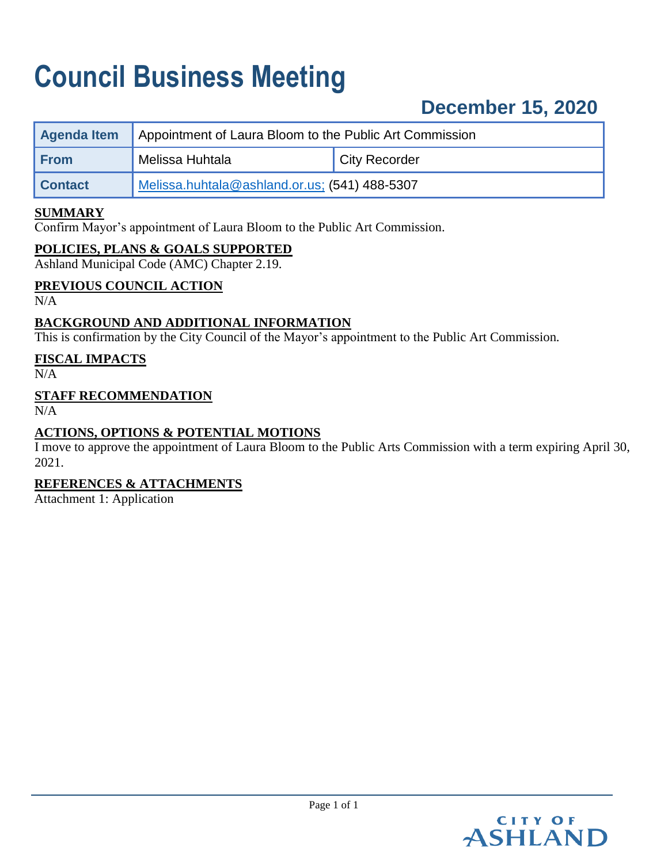# **Council Business Meeting**

## **December 15, 2020**

| Agenda Item    | Appointment of Laura Bloom to the Public Art Commission |                      |
|----------------|---------------------------------------------------------|----------------------|
| <b>From</b>    | Melissa Huhtala                                         | <b>City Recorder</b> |
| <b>Contact</b> | Melissa.huhtala@ashland.or.us; (541) 488-5307           |                      |

#### **SUMMARY**

Confirm Mayor's appointment of Laura Bloom to the Public Art Commission.

#### **POLICIES, PLANS & GOALS SUPPORTED**

Ashland Municipal Code (AMC) Chapter 2.19.

#### **PREVIOUS COUNCIL ACTION**

N/A

#### **BACKGROUND AND ADDITIONAL INFORMATION**

This is confirmation by the City Council of the Mayor's appointment to the Public Art Commission.

#### **FISCAL IMPACTS**

 $N/A$ 

#### **STAFF RECOMMENDATION**

N/A

#### **ACTIONS, OPTIONS & POTENTIAL MOTIONS**

I move to approve the appointment of Laura Bloom to the Public Arts Commission with a term expiring April 30, 2021.

#### **REFERENCES & ATTACHMENTS**

Attachment 1: Application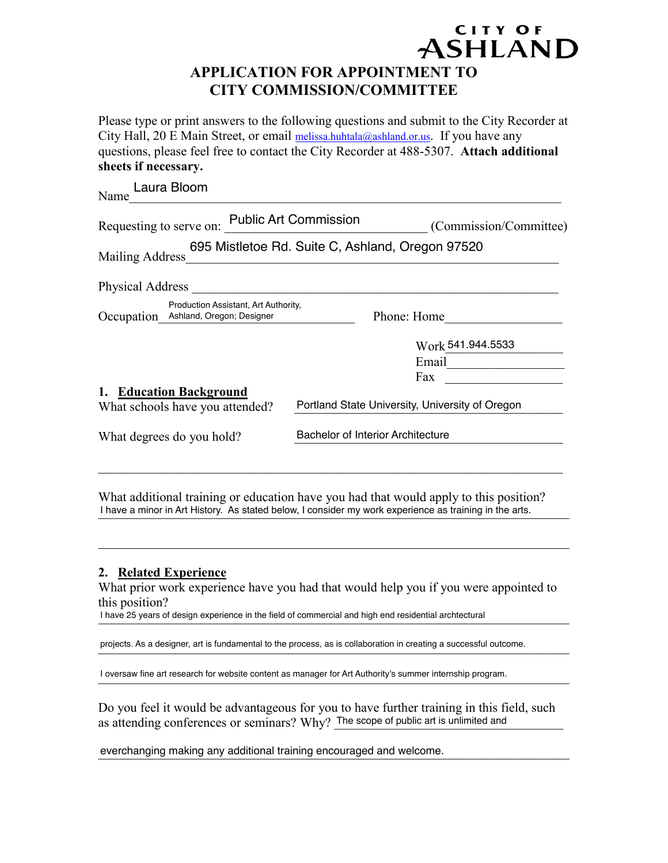### ASHLAND **APPLICATION FOR APPOINTMENT TO CITY COMMISSION/COMMITTEE**

CITY OF

Please type or print answers to the following questions and submit to the City Recorder at City Hall, 20 E Main Street, or email melissa.huhtala@ashland.or.us. If you have any questions, please feel free to contact the City Recorder at 488-5307. **Attach additional sheets if necessary.**

| Requesting to serve on: Public Art Commission                                                                                                                               |                                                 |  |
|-----------------------------------------------------------------------------------------------------------------------------------------------------------------------------|-------------------------------------------------|--|
| 695 Mistletoe Rd. Suite C, Ashland, Oregon 97520<br><u> 1980 - Antonio Alemania, prima prestava postala de la provincia de la provincia de la provincia de la provincia</u> |                                                 |  |
| Physical Address <b>Physical Address</b>                                                                                                                                    |                                                 |  |
| Production Assistant, Art Authority,                                                                                                                                        | Phone: Home                                     |  |
|                                                                                                                                                                             | Work 541.944.5533                               |  |
|                                                                                                                                                                             | Email <u>______________</u>                     |  |
|                                                                                                                                                                             | Fax                                             |  |
|                                                                                                                                                                             | Portland State University, University of Oregon |  |
| Bachelor of Interior Architecture                                                                                                                                           |                                                 |  |
|                                                                                                                                                                             |                                                 |  |
|                                                                                                                                                                             |                                                 |  |

What additional training or education have you had that would apply to this position? I have a minor in Art History. As stated below, I consider my work experience as training in the arts.

#### **2. Related Experience**

What prior work experience have you had that would help you if you were appointed to this position?

 $\mathcal{L}_\text{max}$  , and the contribution of the contribution of the contribution of the contribution of the contribution of the contribution of the contribution of the contribution of the contribution of the contribution of t

I have 25 years of design experience in the field of commercial and high end residential archtectural

projects. As a designer, art is fundamental to the process, as is collaboration in creating a successful outcome.

I oversaw fine art research for website content as manager for Art Authority's summer internship program.

Do you feel it would be advantageous for you to have further training in this field, such as attending conferences or seminars? Why? The scope of public art is unlimited and

everchanging making any additional training encouraged and welcome.